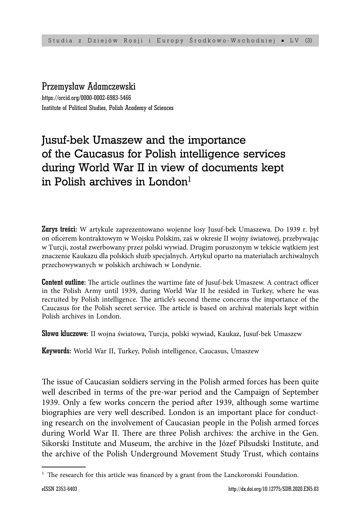## Przemysław Adamczewski

https://orcid.org/0000-0002-6983-5466 Institute of Political Studies, Polish Academy of Sciences

# Jusuf-bek Umaszew and the importance of the Caucasus for Polish intelligence services during World War II in view of documents kept in Polish archives in London $<sup>1</sup>$ </sup>

Zarys treści: W artykule zaprezentowano wojenne losy Jusuf-bek Umaszewa. Do 1939 r. był on ofi cerem kontraktowym w Wojsku Polskim, zaś w okresie II wojny światowej, przebywając w Turcji, został zwerbowany przez polski wywiad. Drugim poruszonym w tekście wątkiem jest znaczenie Kaukazu dla polskich służb specjalnych. Artykuł oparto na materiałach archiwalnych przechowywanych w polskich archiwach w Londynie.

**Content outline:** The article outlines the wartime fate of Jusuf-bek Umaszew. A contract officer in the Polish Army until 1939, during World War II he resided in Turkey, where he was recruited by Polish intelligence. The article's second theme concerns the importance of the Caucasus for the Polish secret service. The article is based on archival materials kept within Polish archives in London.

Słowa kluczowe: II wojna światowa, Turcja, polski wywiad, Kaukaz, Jusuf-bek Umaszew

Keywords: World War II, Turkey, Polish intelligence, Caucasus, Umaszew

The issue of Caucasian soldiers serving in the Polish armed forces has been quite well described in terms of the pre-war period and the Campaign of September 1939. Only a few works concern the period after 1939, although some wartime biographies are very well described. London is an important place for conducting research on the involvement of Caucasian people in the Polish armed forces during World War II. There are three Polish archives: the archive in the Gen. Sikorski Institute and Museum, the archive in the Józef Piłsudski Institute, and the archive of the Polish Underground Movement Study Trust, which contains

<sup>&</sup>lt;sup>1</sup> The research for this article was financed by a grant from the Lanckoronski Foundation.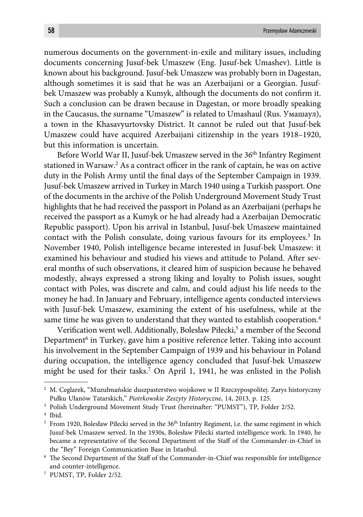numerous documents on the government-in-exile and military issues, including documents concerning Jusuf-bek Umaszew (Eng. Jusuf-bek Umashev). Little is known about his background. Jusuf-bek Umaszew was probably born in Dagestan, although sometimes it is said that he was an Azerbaijani or a Georgian. Jusufbek Umaszew was probably a Kumyk, although the documents do not confirm it. Such a conclusion can be drawn because in Dagestan, or more broadly speaking in the Caucasus, the surname "Umaszew" is related to Umashaul (Rus. Умашаул), a town in the Khasavyurtovsky District. It cannot be ruled out that Jusuf-bek Umaszew could have acquired Azerbaijani citizenship in the years 1918–1920, but this information is uncertain.

Before World War II, Jusuf-bek Umaszew served in the 36th Infantry Regiment stationed in Warsaw.<sup>2</sup> As a contract officer in the rank of captain, he was on active duty in the Polish Army until the final days of the September Campaign in 1939. Jusuf-bek Umaszew arrived in Turkey in March 1940 using a Turkish passport. One of the documents in the archive of the Polish Underground Movement Study Trust highlights that he had received the passport in Poland as an Azerbaijani (perhaps he received the passport as a Kumyk or he had already had a Azerbaijan Democratic Republic passport). Upon his arrival in Istanbul, Jusuf-bek Umaszew maintained contact with the Polish consulate, doing various favours for its employees.<sup>3</sup> In November 1940, Polish intelligence became interested in Jusuf-bek Umaszew: it examined his behaviour and studied his views and attitude to Poland. After several months of such observations, it cleared him of suspicion because he behaved modestly, always expressed a strong liking and loyalty to Polish issues, sought contact with Poles, was discrete and calm, and could adjust his life needs to the money he had. In January and February, intelligence agents conducted interviews with Jusuf-bek Umaszew, examining the extent of his usefulness, while at the same time he was given to understand that they wanted to establish cooperation.<sup>4</sup>

Verification went well. Additionally, Bolesław Piłecki,<sup>5</sup> a member of the Second Department<sup>6</sup> in Turkey, gave him a positive reference letter. Taking into account his involvement in the September Campaign of 1939 and his behaviour in Poland during occupation, the intelligence agency concluded that Jusuf-bek Umaszew might be used for their tasks.7 On April 1, 1941, he was enlisted in the Polish

<sup>2</sup> M. Ceglarek, "Muzułmańskie duszpasterstwo wojskowe w II Rzeczypospolitej. Zarys historyczny Pułku Ułanów Tatarskich," *Piotrkowskie Zeszyty Historyczne*, 14, 2013, p. 125.

<sup>&</sup>lt;sup>3</sup> Polish Underground Movement Study Trust (hereinafter: "PUMST"), TP, Folder 2/52.

<sup>4</sup> Ibid.

 $5$  From 1920, Bolesław Piłecki served in the  $36<sup>th</sup>$  Infantry Regiment, i.e. the same regiment in which Jusuf-bek Umaszew served. In the 1930s, Bolesław Piłecki started intelligence work. In 1940, he became a representative of the Second Department of the Staff of the Commander-in-Chief in the "Bey" Foreign Communication Base in Istanbul.

<sup>&</sup>lt;sup>6</sup> The Second Department of the Staff of the Commander-in-Chief was responsible for intelligence and counter-intelligence.

<sup>7</sup> PUMST, TP, Folder 2/52.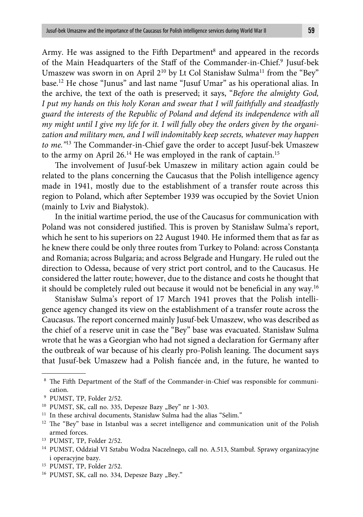Army. He was assigned to the Fifth Department<sup>8</sup> and appeared in the records of the Main Headquarters of the Staff of the Commander-in-Chief.9 Jusuf-bek Umaszew was sworn in on April 2<sup>10</sup> by Lt Col Stanisław Sulma<sup>11</sup> from the "Bey" base.12 He chose "Junus" and last name "Jusuf Umar" as his operational alias. In the archive, the text of the oath is preserved; it says, "*Before the almighty God, I put my hands on this holy Koran and swear that I will faithfully and steadfastly guard the interests of the Republic of Poland and defend its independence with all my might until I give my life for it. I will fully obey the orders given by the organization and military men, and I will indomitably keep secrets, whatever may happen to me.*<sup>"13</sup> The Commander-in-Chief gave the order to accept Jusuf-bek Umaszew to the army on April 26.<sup>14</sup> He was employed in the rank of captain.<sup>15</sup>

The involvement of Jusuf-bek Umaszew in military action again could be related to the plans concerning the Caucasus that the Polish intelligence agency made in 1941, mostly due to the establishment of a transfer route across this region to Poland, which after September 1939 was occupied by the Soviet Union (mainly to Lviv and Białystok).

In the initial wartime period, the use of the Caucasus for communication with Poland was not considered justified. This is proven by Stanisław Sulma's report, which he sent to his superiors on 22 August 1940. He informed them that as far as he knew there could be only three routes from Turkey to Poland: across Constanța and Romania; across Bulgaria; and across Belgrade and Hungary. He ruled out the direction to Odessa, because of very strict port control, and to the Caucasus. He considered the latter route; however, due to the distance and costs he thought that it should be completely ruled out because it would not be beneficial in any way.<sup>16</sup>

Stanisław Sulma's report of 17 March 1941 proves that the Polish intelligence agency changed its view on the establishment of a transfer route across the Caucasus. The report concerned mainly Jusuf-bek Umaszew, who was described as the chief of a reserve unit in case the "Bey" base was evacuated. Stanisław Sulma wrote that he was a Georgian who had not signed a declaration for Germany after the outbreak of war because of his clearly pro-Polish leaning. The document says that Jusuf-bek Umaszew had a Polish fiancée and, in the future, he wanted to

<sup>11</sup> In these archival documents, Stanisław Sulma had the alias "Selim."

13 PUMST, TP, Folder 2/52.

15 PUMST, TP, Folder 2/52.

<sup>&</sup>lt;sup>8</sup> The Fifth Department of the Staff of the Commander-in-Chief was responsible for communication.

<sup>9</sup> PUMST, TP, Folder 2/52.

<sup>&</sup>lt;sup>10</sup> PUMST, SK, call no. 335, Depesze Bazy "Bey" nr 1-303.

 $12$  The "Bey" base in Istanbul was a secret intelligence and communication unit of the Polish armed forces.

<sup>14</sup> PUMST, Oddział VI Sztabu Wodza Naczelnego, call no. A.513, Stambuł. Sprawy organizacyjne i operacyjne bazy.

<sup>&</sup>lt;sup>16</sup> PUMST, SK, call no. 334, Depesze Bazy "Bey."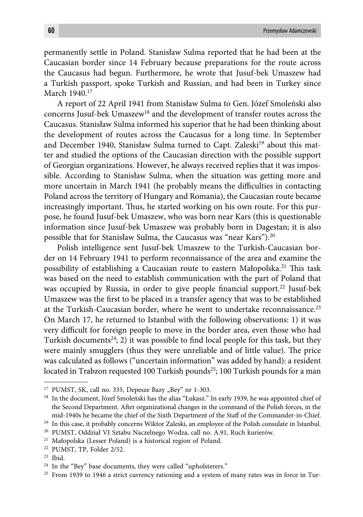permanently settle in Poland. Stanisław Sulma reported that he had been at the Caucasian border since 14 February because preparations for the route across the Caucasus had begun. Furthermore, he wrote that Jusuf-bek Umaszew had a Turkish passport, spoke Turkish and Russian, and had been in Turkey since March 1940.17

A report of 22 April 1941 from Stanisław Sulma to Gen. Józef Smoleński also concerns Jusuf-bek Umaszew18 and the development of transfer routes across the Caucasus. Stanisław Sulma informed his superior that he had been thinking about the development of routes across the Caucasus for a long time. In September and December 1940, Stanisław Sulma turned to Capt. Zaleski<sup>19</sup> about this matter and studied the options of the Caucasian direction with the possible support of Georgian organizations. However, he always received replies that it was impossible. According to Stanisław Sulma, when the situation was getting more and more uncertain in March 1941 (he probably means the difficulties in contacting Poland across the territory of Hungary and Romania), the Caucasian route became increasingly important. Thus, he started working on his own route. For this purpose, he found Jusuf-bek Umaszew, who was born near Kars (this is questionable information since Jusuf-bek Umaszew was probably born in Dagestan; it is also possible that for Stanisław Sulma, the Caucasus was "near Kars").20

Polish intelligence sent Jusuf-bek Umaszew to the Turkish-Caucasian border on 14 February 1941 to perform reconnaissance of the area and examine the possibility of establishing a Caucasian route to eastern Małopolska.<sup>21</sup> This task was based on the need to establish communication with the part of Poland that was occupied by Russia, in order to give people financial support.<sup>22</sup> Jusuf-bek Umaszew was the first to be placed in a transfer agency that was to be established at the Turkish-Caucasian border, where he went to undertake reconnaissance.<sup>23</sup> On March 17, he returned to Istanbul with the following observations: 1) it was very difficult for foreign people to move in the border area, even those who had Turkish documents<sup>24</sup>; 2) it was possible to find local people for this task, but they were mainly smugglers (thus they were unreliable and of little value). The price was calculated as follows ("uncertain information" was added by hand): a resident located in Trabzon requested 100 Turkish pounds<sup>25</sup>; 100 Turkish pounds for a man

<sup>&</sup>lt;sup>17</sup> PUMST, SK, call no. 335, Depesze Bazy "Bey" nr 1-303.

<sup>&</sup>lt;sup>18</sup> In the document, Józef Smoleński has the alias "Łukasz." In early 1939, he was appointed chief of the Second Department. After organizational changes in the command of the Polish forces, in the mid-1940s he became the chief of the Sixth Department of the Staff of the Commander-in-Chief.

<sup>&</sup>lt;sup>19</sup> In this case, it probably concerns Wiktor Zaleski, an employee of the Polish consulate in Istanbul.

<sup>20</sup> PUMST, Oddział VI Sztabu Naczelnego Wodza, call no. A.91, Ruch kurierów.

<sup>21</sup> Małopolska (Lesser Poland) is a historical region of Poland.

<sup>22</sup> PUMST, TP, Folder 2/52.

<sup>23</sup> Ibid.

<sup>&</sup>lt;sup>24</sup> In the "Bey" base documents, they were called "upholsterers."

<sup>&</sup>lt;sup>25</sup> From 1939 to 1946 a strict currency rationing and a system of many rates was in force in Tur-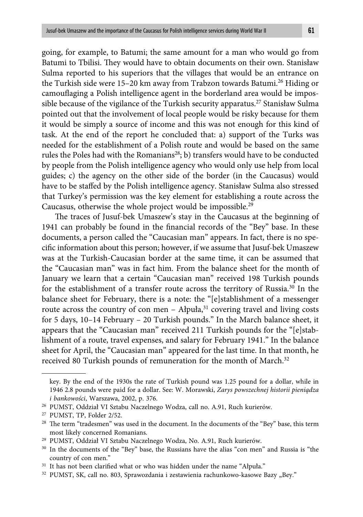going, for example, to Batumi; the same amount for a man who would go from Batumi to Tbilisi. They would have to obtain documents on their own. Stanisław Sulma reported to his superiors that the villages that would be an entrance on the Turkish side were 15–20 km away from Trabzon towards Batumi.<sup>26</sup> Hiding or camouflaging a Polish intelligence agent in the borderland area would be impossible because of the vigilance of the Turkish security apparatus.<sup>27</sup> Stanisław Sulma pointed out that the involvement of local people would be risky because for them it would be simply a source of income and this was not enough for this kind of task. At the end of the report he concluded that: a) support of the Turks was needed for the establishment of a Polish route and would be based on the same rules the Poles had with the Romanians<sup>28</sup>; b) transfers would have to be conducted by people from the Polish intelligence agency who would only use help from local guides; c) the agency on the other side of the border (in the Caucasus) would have to be staffed by the Polish intelligence agency. Stanisław Sulma also stressed that Turkey's permission was the key element for establishing a route across the Caucasus, otherwise the whole project would be impossible.29

The traces of Jusuf-bek Umaszew's stay in the Caucasus at the beginning of 1941 can probably be found in the financial records of the "Bey" base. In these documents, a person called the "Caucasian man" appears. In fact, there is no specific information about this person; however, if we assume that Jusuf-bek Umaszew was at the Turkish-Caucasian border at the same time, it can be assumed that the "Caucasian man" was in fact him. From the balance sheet for the month of January we learn that a certain "Caucasian man" received 198 Turkish pounds for the establishment of a transfer route across the territory of Russia.<sup>30</sup> In the balance sheet for February, there is a note: the "[e]stablishment of a messenger route across the country of con men - Ałpuła,<sup>31</sup> covering travel and living costs for 5 days, 10–14 February – 20 Turkish pounds." In the March balance sheet, it appears that the "Caucasian man" received 211 Turkish pounds for the "[e]stablishment of a route, travel expenses, and salary for February 1941." In the balance sheet for April, the "Caucasian man" appeared for the last time. In that month, he received 80 Turkish pounds of remuneration for the month of March.<sup>32</sup>

key. By the end of the 1930s the rate of Turkish pound was 1.25 pound for a dollar, while in 1946 2.8 pounds were paid for a dollar. See: W. Morawski, *Zarys powszechnej historii pieniądza i bankowości*, Warszawa, 2002, p. 376.

<sup>26</sup> PUMST, Oddział VI Sztabu Naczelnego Wodza, call no. A.91, Ruch kurierów.

<sup>27</sup> PUMST, TP, Folder 2/52.

 $28$  The term "tradesmen" was used in the document. In the documents of the "Bey" base, this term most likely concerned Romanians.

<sup>29</sup> PUMST, Oddział VI Sztabu Naczelnego Wodza, No. A.91, Ruch kurierów.

<sup>&</sup>lt;sup>30</sup> In the documents of the "Bey" base, the Russians have the alias "con men" and Russia is "the country of con men."

<sup>&</sup>lt;sup>31</sup> It has not been clarified what or who was hidden under the name "Ałpuła."

<sup>&</sup>lt;sup>32</sup> PUMST, SK, call no. 803, Sprawozdania i zestawienia rachunkowo-kasowe Bazy "Bey."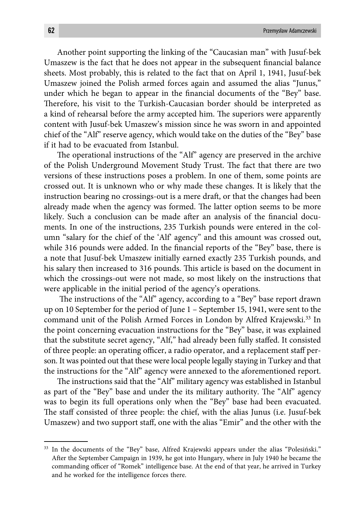Another point supporting the linking of the "Caucasian man" with Jusuf-bek Umaszew is the fact that he does not appear in the subsequent financial balance sheets. Most probably, this is related to the fact that on April 1, 1941, Jusuf-bek Umaszew joined the Polish armed forces again and assumed the alias "Junus," under which he began to appear in the financial documents of the "Bey" base. Therefore, his visit to the Turkish-Caucasian border should be interpreted as a kind of rehearsal before the army accepted him. The superiors were apparently content with Jusuf-bek Umaszew's mission since he was sworn in and appointed chief of the "Alf" reserve agency, which would take on the duties of the "Bey" base if it had to be evacuated from Istanbul.

The operational instructions of the "Alf" agency are preserved in the archive of the Polish Underground Movement Study Trust. The fact that there are two versions of these instructions poses a problem. In one of them, some points are crossed out. It is unknown who or why made these changes. It is likely that the instruction bearing no crossings-out is a mere draft, or that the changes had been already made when the agency was formed. The latter option seems to be more likely. Such a conclusion can be made after an analysis of the financial documents. In one of the instructions, 235 Turkish pounds were entered in the column "salary for the chief of the 'Alf' agency" and this amount was crossed out, while 316 pounds were added. In the financial reports of the "Bey" base, there is a note that Jusuf-bek Umaszew initially earned exactly 235 Turkish pounds, and his salary then increased to 316 pounds. This article is based on the document in which the crossings-out were not made, so most likely on the instructions that were applicable in the initial period of the agency's operations.

The instructions of the "Alf" agency, according to a "Bey" base report drawn up on 10 September for the period of June 1 – September 15, 1941, were sent to the command unit of the Polish Armed Forces in London by Alfred Krajewski.<sup>33</sup> In the point concerning evacuation instructions for the "Bey" base, it was explained that the substitute secret agency, "Alf," had already been fully staffed. It consisted of three people: an operating officer, a radio operator, and a replacement staff person. It was pointed out that these were local people legally staying in Turkey and that the instructions for the "Alf" agency were annexed to the aforementioned report.

The instructions said that the "Alf" military agency was established in Istanbul as part of the "Bey" base and under the its military authority. The "Alf" agency was to begin its full operations only when the "Bey" base had been evacuated. The staff consisted of three people: the chief, with the alias Junus (i.e. Jusuf-bek Umaszew) and two support staff , one with the alias "Emir" and the other with the

<sup>&</sup>lt;sup>33</sup> In the documents of the "Bey" base, Alfred Krajewski appears under the alias "Polesiński." After the September Campaign in 1939, he got into Hungary, where in July 1940 he became the commanding officer of "Romek" intelligence base. At the end of that year, he arrived in Turkey and he worked for the intelligence forces there.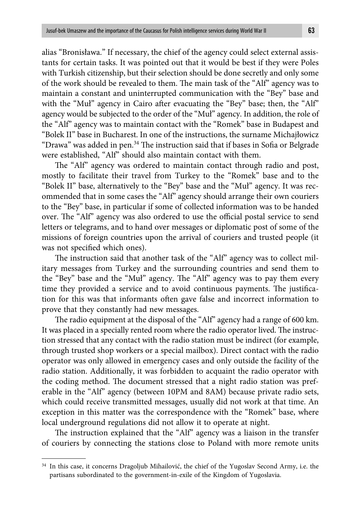alias "Bronisława." If necessary, the chief of the agency could select external assistants for certain tasks. It was pointed out that it would be best if they were Poles with Turkish citizenship, but their selection should be done secretly and only some of the work should be revealed to them. The main task of the "Alf" agency was to maintain a constant and uninterrupted communication with the "Bey" base and with the "Muł" agency in Cairo after evacuating the "Bey" base; then, the "Alf" agency would be subjected to the order of the "Muł" agency. In addition, the role of the "Alf" agency was to maintain contact with the "Romek" base in Budapest and "Bolek II" base in Bucharest. In one of the instructions, the surname Michajłowicz "Drawa" was added in pen.<sup>34</sup> The instruction said that if bases in Sofia or Belgrade were established, "Alf" should also maintain contact with them.

The "Alf" agency was ordered to maintain contact through radio and post, mostly to facilitate their travel from Turkey to the "Romek" base and to the "Bolek II" base, alternatively to the "Bey" base and the "Muł" agency. It was recommended that in some cases the "Alf" agency should arrange their own couriers to the "Bey" base, in particular if some of collected information was to be handed over. The "Alf" agency was also ordered to use the official postal service to send letters or telegrams, and to hand over messages or diplomatic post of some of the missions of foreign countries upon the arrival of couriers and trusted people (it was not specified which ones).

The instruction said that another task of the "Alf" agency was to collect military messages from Turkey and the surrounding countries and send them to the "Bey" base and the "Muł" agency. The "Alf" agency was to pay them every time they provided a service and to avoid continuous payments. The justification for this was that informants often gave false and incorrect information to prove that they constantly had new messages.

The radio equipment at the disposal of the "Alf" agency had a range of 600 km. It was placed in a specially rented room where the radio operator lived. The instruction stressed that any contact with the radio station must be indirect (for example, through trusted shop workers or a special mailbox). Direct contact with the radio operator was only allowed in emergency cases and only outside the facility of the radio station. Additionally, it was forbidden to acquaint the radio operator with the coding method. The document stressed that a night radio station was preferable in the "Alf" agency (between 10PM and 8AM) because private radio sets, which could receive transmitted messages, usually did not work at that time. An exception in this matter was the correspondence with the "Romek" base, where local underground regulations did not allow it to operate at night.

The instruction explained that the "Alf" agency was a liaison in the transfer of couriers by connecting the stations close to Poland with more remote units

<sup>34</sup> In this case, it concerns Dragoljub Mihailović, the chief of the Yugoslav Second Army, i.e. the partisans subordinated to the government-in-exile of the Kingdom of Yugoslavia.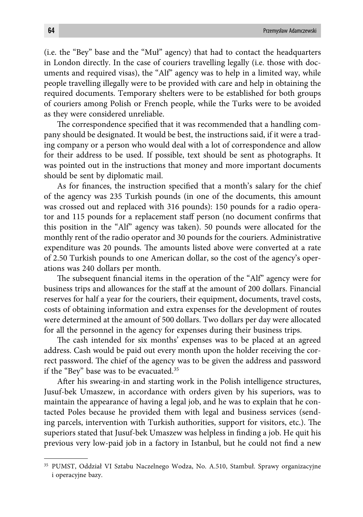(i.e. the "Bey" base and the "Muł" agency) that had to contact the headquarters in London directly. In the case of couriers travelling legally (i.e. those with documents and required visas), the "Alf" agency was to help in a limited way, while people travelling illegally were to be provided with care and help in obtaining the required documents. Temporary shelters were to be established for both groups of couriers among Polish or French people, while the Turks were to be avoided as they were considered unreliable.

The correspondence specified that it was recommended that a handling company should be designated. It would be best, the instructions said, if it were a trading company or a person who would deal with a lot of correspondence and allow for their address to be used. If possible, text should be sent as photographs. It was pointed out in the instructions that money and more important documents should be sent by diplomatic mail.

As for finances, the instruction specified that a month's salary for the chief of the agency was 235 Turkish pounds (in one of the documents, this amount was crossed out and replaced with 316 pounds): 150 pounds for a radio operator and 115 pounds for a replacement staff person (no document confirms that this position in the "Alf" agency was taken). 50 pounds were allocated for the monthly rent of the radio operator and 30 pounds for the couriers. Administrative expenditure was 20 pounds. The amounts listed above were converted at a rate of 2.50 Turkish pounds to one American dollar, so the cost of the agency's operations was 240 dollars per month.

The subsequent financial items in the operation of the "Alf" agency were for business trips and allowances for the staff at the amount of 200 dollars. Financial reserves for half a year for the couriers, their equipment, documents, travel costs, costs of obtaining information and extra expenses for the development of routes were determined at the amount of 500 dollars. Two dollars per day were allocated for all the personnel in the agency for expenses during their business trips.

The cash intended for six months' expenses was to be placed at an agreed address. Cash would be paid out every month upon the holder receiving the correct password. The chief of the agency was to be given the address and password if the "Bey" base was to be evacuated.35

After his swearing-in and starting work in the Polish intelligence structures, Jusuf-bek Umaszew, in accordance with orders given by his superiors, was to maintain the appearance of having a legal job, and he was to explain that he contacted Poles because he provided them with legal and business services (sending parcels, intervention with Turkish authorities, support for visitors, etc.). The superiors stated that Jusuf-bek Umaszew was helpless in finding a job. He quit his previous very low-paid job in a factory in Istanbul, but he could not find a new

<sup>35</sup> PUMST, Oddział VI Sztabu Naczelnego Wodza, No. A.510, Stambuł. Sprawy organizacyjne i operacyjne bazy.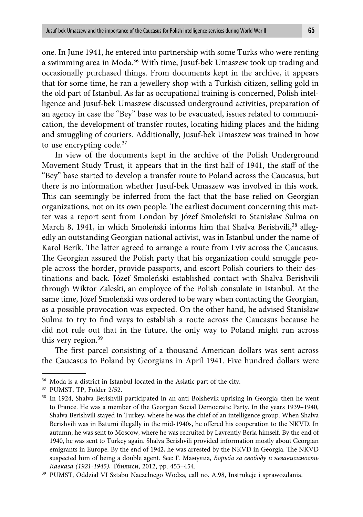one. In June 1941, he entered into partnership with some Turks who were renting a swimming area in Moda.36 With time, Jusuf-bek Umaszew took up trading and occasionally purchased things. From documents kept in the archive, it appears that for some time, he ran a jewellery shop with a Turkish citizen, selling gold in the old part of Istanbul. As far as occupational training is concerned, Polish intelligence and Jusuf-bek Umaszew discussed underground activities, preparation of an agency in case the "Bey" base was to be evacuated, issues related to communication, the development of transfer routes, locating hiding places and the hiding and smuggling of couriers. Additionally, Jusuf-bek Umaszew was trained in how to use encrypting code.<sup>37</sup>

In view of the documents kept in the archive of the Polish Underground Movement Study Trust, it appears that in the first half of 1941, the staff of the "Bey" base started to develop a transfer route to Poland across the Caucasus, but there is no information whether Jusuf-bek Umaszew was involved in this work. This can seemingly be inferred from the fact that the base relied on Georgian organizations, not on its own people. The earliest document concerning this matter was a report sent from London by Józef Smoleński to Stanisław Sulma on March 8, 1941, in which Smoleński informs him that Shalva Berishvili,<sup>38</sup> allegedly an outstanding Georgian national activist, was in Istanbul under the name of Karol Berik. The latter agreed to arrange a route from Lviv across the Caucasus. The Georgian assured the Polish party that his organization could smuggle people across the border, provide passports, and escort Polish couriers to their destinations and back. Józef Smoleński established contact with Shalva Berishvili through Wiktor Zaleski, an employee of the Polish consulate in Istanbul. At the same time, Józef Smoleński was ordered to be wary when contacting the Georgian, as a possible provocation was expected. On the other hand, he advised Stanisław Sulma to try to find ways to establish a route across the Caucasus because he did not rule out that in the future, the only way to Poland might run across this very region.<sup>39</sup>

The first parcel consisting of a thousand American dollars was sent across the Caucasus to Poland by Georgians in April 1941. Five hundred dollars were

<sup>36</sup> Moda is a district in Istanbul located in the Asiatic part of the city.

<sup>37</sup> PUMST, TP, Folder 2/52.

<sup>38</sup> In 1924, Shalva Berishvili participated in an anti-Bolshevik uprising in Georgia; then he went to France. He was a member of the Georgian Social Democratic Party. In the years 1939–1940, Shalva Berishvili stayed in Turkey, where he was the chief of an intelligence group. When Shalva Berishvili was in Batumi illegally in the mid-1940s, he offered his cooperation to the NKVD. In autumn, he was sent to Moscow, where he was recruited by Lavrentiy Beria himself. By the end of 1940, he was sent to Turkey again. Shalva Berishvili provided information mostly about Georgian emigrants in Europe. By the end of 1942, he was arrested by the NKVD in Georgia. The NKVD suspected him of being a double agent. See: Г. Мамулиа*, Борьба за свободу и независимость* 

*Кавказа (1921-1945)*, Тбилиси, 2012, pp. 453–454. 39 PUMST, Oddział VI Sztabu Naczelnego Wodza, call no. A.98, Instrukcje i sprawozdania.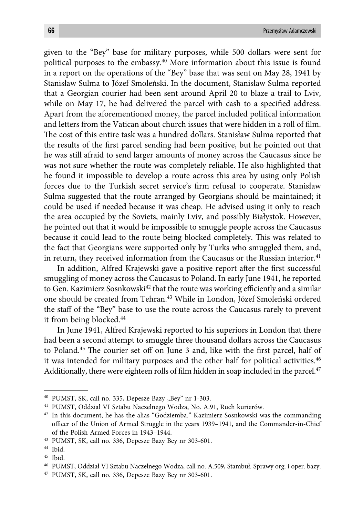given to the "Bey" base for military purposes, while 500 dollars were sent for political purposes to the embassy.40 More information about this issue is found in a report on the operations of the "Bey" base that was sent on May 28, 1941 by Stanisław Sulma to Józef Smoleński. In the document, Stanisław Sulma reported that a Georgian courier had been sent around April 20 to blaze a trail to Lviv, while on May 17, he had delivered the parcel with cash to a specified address. Apart from the aforementioned money, the parcel included political information and letters from the Vatican about church issues that were hidden in a roll of film. The cost of this entire task was a hundred dollars. Stanisław Sulma reported that the results of the first parcel sending had been positive, but he pointed out that he was still afraid to send larger amounts of money across the Caucasus since he was not sure whether the route was completely reliable. He also highlighted that he found it impossible to develop a route across this area by using only Polish forces due to the Turkish secret service's firm refusal to cooperate. Stanisław Sulma suggested that the route arranged by Georgians should be maintained; it could be used if needed because it was cheap. He advised using it only to reach the area occupied by the Soviets, mainly Lviv, and possibly Białystok. However, he pointed out that it would be impossible to smuggle people across the Caucasus because it could lead to the route being blocked completely. This was related to the fact that Georgians were supported only by Turks who smuggled them, and, in return, they received information from the Caucasus or the Russian interior.<sup>41</sup>

In addition, Alfred Krajewski gave a positive report after the first successful smuggling of money across the Caucasus to Poland. In early June 1941, he reported to Gen. Kazimierz Sosnkowski<sup>42</sup> that the route was working efficiently and a similar one should be created from Tehran.43 While in London, Józef Smoleński ordered the staff of the "Bey" base to use the route across the Caucasus rarely to prevent it from being blocked.<sup>44</sup>

In June 1941, Alfred Krajewski reported to his superiors in London that there had been a second attempt to smuggle three thousand dollars across the Caucasus to Poland.<sup>45</sup> The courier set off on June 3 and, like with the first parcel, half of it was intended for military purposes and the other half for political activities.46 Additionally, there were eighteen rolls of film hidden in soap included in the parcel. $47$ 

<sup>&</sup>lt;sup>40</sup> PUMST, SK, call no. 335, Depesze Bazy "Bey" nr 1-303.

<sup>41</sup> PUMST, Oddział VI Sztabu Naczelnego Wodza, No. A.91, Ruch kurierów.

<sup>42</sup> In this document, he has the alias "Godziemba." Kazimierz Sosnkowski was the commanding officer of the Union of Armed Struggle in the years 1939–1941, and the Commander-in-Chief of the Polish Armed Forces in 1943–1944.

<sup>43</sup> PUMST, SK, call no. 336, Depesze Bazy Bey nr 303-601.

<sup>44</sup> Ibid.

<sup>45</sup> Ibid.

<sup>46</sup> PUMST, Oddział VI Sztabu Naczelnego Wodza, call no. A.509, Stambuł. Sprawy org. i oper. bazy.

<sup>47</sup> PUMST, SK, call no. 336, Depesze Bazy Bey nr 303-601.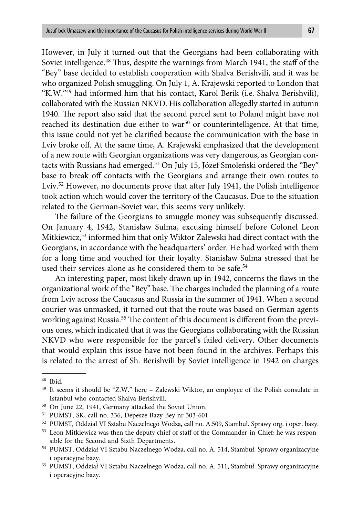However, in July it turned out that the Georgians had been collaborating with Soviet intelligence.<sup>48</sup> Thus, despite the warnings from March 1941, the staff of the "Bey" base decided to establish cooperation with Shalva Berishvili, and it was he who organized Polish smuggling. On July 1, A. Krajewski reported to London that "K.W."49 had informed him that his contact, Karol Berik (i.e. Shalva Berishvili), collaborated with the Russian NKVD. His collaboration allegedly started in autumn 1940. The report also said that the second parcel sent to Poland might have not reached its destination due either to war<sup>50</sup> or counterintelligence. At that time, this issue could not yet be clarified because the communication with the base in Lviv broke off. At the same time, A. Krajewski emphasized that the development of a new route with Georgian organizations was very dangerous, as Georgian contacts with Russians had emerged.<sup>51</sup> On July 15, Józef Smoleński ordered the "Bey" base to break off contacts with the Georgians and arrange their own routes to Lviv.<sup>52</sup> However, no documents prove that after July 1941, the Polish intelligence took action which would cover the territory of the Caucasus. Due to the situation related to the German-Soviet war, this seems very unlikely.

The failure of the Georgians to smuggle money was subsequently discussed. On January 4, 1942, Stanisław Sulma, excusing himself before Colonel Leon Mitkiewicz,53 informed him that only Wiktor Zalewski had direct contact with the Georgians, in accordance with the headquarters' order. He had worked with them for a long time and vouched for their loyalty. Stanisław Sulma stressed that he used their services alone as he considered them to be safe.<sup>54</sup>

An interesting paper, most likely drawn up in 1942, concerns the flaws in the organizational work of the "Bey" base. The charges included the planning of a route from Lviv across the Caucasus and Russia in the summer of 1941. When a second courier was unmasked, it turned out that the route was based on German agents working against Russia.<sup>55</sup> The content of this document is different from the previous ones, which indicated that it was the Georgians collaborating with the Russian NKVD who were responsible for the parcel's failed delivery. Other documents that would explain this issue have not been found in the archives. Perhaps this is related to the arrest of Sh. Berishvili by Soviet intelligence in 1942 on charges

<sup>48</sup> Ibid.

<sup>49</sup> It seems it should be "Z.W." here – Zalewski Wiktor, an employee of the Polish consulate in Istanbul who contacted Shalva Berishvili.

<sup>50</sup> On June 22, 1941, Germany attacked the Soviet Union.

<sup>51</sup> PUMST, SK, call no. 336, Depesze Bazy Bey nr 303-601.

<sup>52</sup> PUMST, Oddział VI Sztabu Naczelnego Wodza, call no. A.509, Stambuł. Sprawy org. i oper. bazy.

<sup>53</sup> Leon Mitkiewicz was then the deputy chief of staff of the Commander-in-Chief; he was responsible for the Second and Sixth Departments.

<sup>54</sup> PUMST, Oddział VI Sztabu Naczelnego Wodza, call no. A. 514, Stambuł. Sprawy organizacyjne i operacyjne bazy.

<sup>55</sup> PUMST, Oddział VI Sztabu Naczelnego Wodza, call no. A. 511, Stambuł. Sprawy organizacyjne i operacyjne bazy.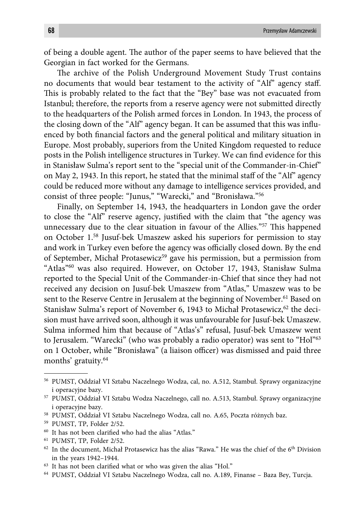of being a double agent. The author of the paper seems to have believed that the Georgian in fact worked for the Germans.

The archive of the Polish Underground Movement Study Trust contains no documents that would bear testament to the activity of "Alf" agency staff. This is probably related to the fact that the "Bey" base was not evacuated from Istanbul; therefore, the reports from a reserve agency were not submitted directly to the headquarters of the Polish armed forces in London. In 1943, the process of the closing down of the "Alf" agency began. It can be assumed that this was influenced by both financial factors and the general political and military situation in Europe. Most probably, superiors from the United Kingdom requested to reduce posts in the Polish intelligence structures in Turkey. We can find evidence for this in Stanisław Sulma's report sent to the "special unit of the Commander-in-Chief" on May 2, 1943. In this report, he stated that the minimal staff of the "Alf" agency could be reduced more without any damage to intelligence services provided, and consist of three people: "Junus," "Warecki," and "Bronisława."56

Finally, on September 14, 1943, the headquarters in London gave the order to close the "Alf" reserve agency, justified with the claim that "the agency was unnecessary due to the clear situation in favour of the Allies."<sup>57</sup> This happened on October 1.58 Jusuf-bek Umaszew asked his superiors for permission to stay and work in Turkey even before the agency was officially closed down. By the end of September, Michał Protasewicz<sup>59</sup> gave his permission, but a permission from "Atlas"60 was also required. However, on October 17, 1943, Stanisław Sulma reported to the Special Unit of the Commander-in-Chief that since they had not received any decision on Jusuf-bek Umaszew from "Atlas," Umaszew was to be sent to the Reserve Centre in Jerusalem at the beginning of November.<sup>61</sup> Based on Stanisław Sulma's report of November 6, 1943 to Michał Protasewicz,<sup>62</sup> the decision must have arrived soon, although it was unfavourable for Jusuf-bek Umaszew. Sulma informed him that because of "Atlas's" refusal, Jusuf-bek Umaszew went to Jerusalem. "Warecki" (who was probably a radio operator) was sent to "Hol"63 on 1 October, while "Bronisława" (a liaison officer) was dismissed and paid three months' gratuity.64

<sup>56</sup> PUMST, Oddział VI Sztabu Naczelnego Wodza, cal, no. A.512, Stambuł. Sprawy organizacyjne i operacyjne bazy.

<sup>57</sup> PUMST, Oddział VI Sztabu Wodza Naczelnego, call no. A.513, Stambuł. Sprawy organizacyjne i operacyjne bazy.

<sup>58</sup> PUMST, Oddział VI Sztabu Naczelnego Wodza, call no. A.65, Poczta różnych baz.

<sup>59</sup> PUMST, TP, Folder 2/52.

 $60$  It has not been clarified who had the alias "Atlas."

<sup>61</sup> PUMST, TP, Folder 2/52.

 $62$  In the document, Michał Protasewicz has the alias "Rawa." He was the chief of the  $6<sup>th</sup>$  Division in the years 1942–1944.

 $63$  It has not been clarified what or who was given the alias "Hol."

<sup>64</sup> PUMST, Oddział VI Sztabu Naczelnego Wodza, call no. A.189, Finanse – Baza Bey, Turcja.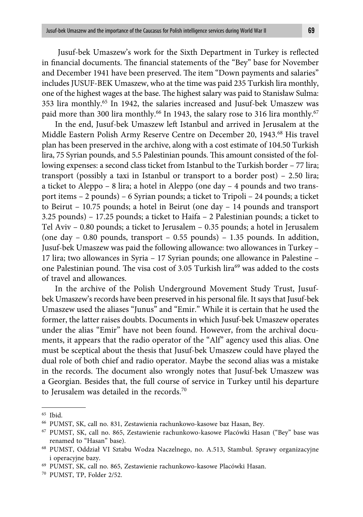Jusuf-bek Umaszew's work for the Sixth Department in Turkey is reflected in financial documents. The financial statements of the "Bey" base for November and December 1941 have been preserved. The item "Down payments and salaries" includes JUSUF-BEK Umaszew, who at the time was paid 235 Turkish lira monthly, one of the highest wages at the base. The highest salary was paid to Stanisław Sulma: 353 lira monthly.65 In 1942, the salaries increased and Jusuf-bek Umaszew was paid more than 300 lira monthly.<sup>66</sup> In 1943, the salary rose to 316 lira monthly.<sup>67</sup>

In the end, Jusuf-bek Umaszew left Istanbul and arrived in Jerusalem at the Middle Eastern Polish Army Reserve Centre on December 20, 1943.68 His travel plan has been preserved in the archive, along with a cost estimate of 104.50 Turkish lira, 75 Syrian pounds, and 5.5 Palestinian pounds. This amount consisted of the following expenses: a second class ticket from Istanbul to the Turkish border – 77 lira; transport (possibly a taxi in Istanbul or transport to a border post) – 2.50 lira; a ticket to Aleppo – 8 lira; a hotel in Aleppo (one day – 4 pounds and two transport items – 2 pounds) – 6 Syrian pounds; a ticket to Tripoli – 24 pounds; a ticket to Beirut – 10.75 pounds; a hotel in Beirut (one day – 14 pounds and transport 3.25 pounds) – 17.25 pounds; a ticket to Haifa – 2 Palestinian pounds; a ticket to Tel Aviv – 0.80 pounds; a ticket to Jerusalem – 0.35 pounds; a hotel in Jerusalem (one day  $-0.80$  pounds, transport  $-0.55$  pounds)  $-1.35$  pounds. In addition, Jusuf-bek Umaszew was paid the following allowance: two allowances in Turkey – 17 lira; two allowances in Syria – 17 Syrian pounds; one allowance in Palestine – one Palestinian pound. The visa cost of 3.05 Turkish lira<sup>69</sup> was added to the costs of travel and allowances.

In the archive of the Polish Underground Movement Study Trust, Jusufbek Umaszew's records have been preserved in his personal file. It says that Jusuf-bek Umaszew used the aliases "Junus" and "Emir." While it is certain that he used the former, the latter raises doubts. Documents in which Jusuf-bek Umaszew operates under the alias "Emir" have not been found. However, from the archival documents, it appears that the radio operator of the "Alf" agency used this alias. One must be sceptical about the thesis that Jusuf-bek Umaszew could have played the dual role of both chief and radio operator. Maybe the second alias was a mistake in the records. The document also wrongly notes that Jusuf-bek Umaszew was a Georgian. Besides that, the full course of service in Turkey until his departure to Jerusalem was detailed in the records.<sup>70</sup>

<sup>65</sup> Ibid.

<sup>66</sup> PUMST, SK, call no. 831, Zestawienia rachunkowo-kasowe baz Hasan, Bey.

<sup>67</sup> PUMST, SK, call no. 865, Zestawienie rachunkowo-kasowe Placówki Hasan ("Bey" base was renamed to "Hasan" base).

<sup>68</sup> PUMST, Oddział VI Sztabu Wodza Naczelnego, no. A.513, Stambuł. Sprawy organizacyjne i operacyjne bazy.

<sup>69</sup> PUMST, SK, call no. 865, Zestawienie rachunkowo-kasowe Placówki Hasan.

<sup>70</sup> PUMST, TP, Folder 2/52.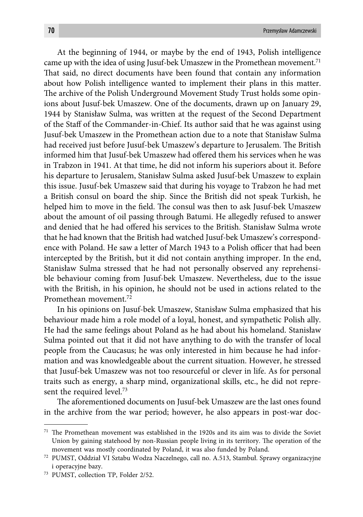At the beginning of 1944, or maybe by the end of 1943, Polish intelligence came up with the idea of using Jusuf-bek Umaszew in the Promethean movement.<sup>71</sup> That said, no direct documents have been found that contain any information about how Polish intelligence wanted to implement their plans in this matter. The archive of the Polish Underground Movement Study Trust holds some opinions about Jusuf-bek Umaszew. One of the documents, drawn up on January 29, 1944 by Stanisław Sulma, was written at the request of the Second Department of the Staff of the Commander-in-Chief. Its author said that he was against using Jusuf-bek Umaszew in the Promethean action due to a note that Stanisław Sulma had received just before Jusuf-bek Umaszew's departure to Jerusalem. The British informed him that Jusuf-bek Umaszew had offered them his services when he was in Trabzon in 1941. At that time, he did not inform his superiors about it. Before his departure to Jerusalem, Stanisław Sulma asked Jusuf-bek Umaszew to explain this issue. Jusuf-bek Umaszew said that during his voyage to Trabzon he had met a British consul on board the ship. Since the British did not speak Turkish, he helped him to move in the field. The consul was then to ask Jusuf-bek Umaszew about the amount of oil passing through Batumi. He allegedly refused to answer and denied that he had offered his services to the British. Stanisław Sulma wrote that he had known that the British had watched Jusuf-bek Umaszew's correspondence with Poland. He saw a letter of March 1943 to a Polish officer that had been intercepted by the British, but it did not contain anything improper. In the end, Stanisław Sulma stressed that he had not personally observed any reprehensible behaviour coming from Jusuf-bek Umaszew. Nevertheless, due to the issue with the British, in his opinion, he should not be used in actions related to the Promethean movement.72

In his opinions on Jusuf-bek Umaszew, Stanisław Sulma emphasized that his behaviour made him a role model of a loyal, honest, and sympathetic Polish ally. He had the same feelings about Poland as he had about his homeland. Stanisław Sulma pointed out that it did not have anything to do with the transfer of local people from the Caucasus; he was only interested in him because he had information and was knowledgeable about the current situation. However, he stressed that Jusuf-bek Umaszew was not too resourceful or clever in life. As for personal traits such as energy, a sharp mind, organizational skills, etc., he did not represent the required level.73

The aforementioned documents on Jusuf-bek Umaszew are the last ones found in the archive from the war period; however, he also appears in post-war doc-

 $71$  The Promethean movement was established in the 1920s and its aim was to divide the Soviet Union by gaining statehood by non-Russian people living in its territory. The operation of the movement was mostly coordinated by Poland, it was also funded by Poland.

<sup>72</sup> PUMST, Oddział VI Sztabu Wodza Naczelnego, call no. A.513, Stambuł. Sprawy organizacyjne i operacyjne bazy.

<sup>73</sup> PUMST, collection TP, Folder 2/52.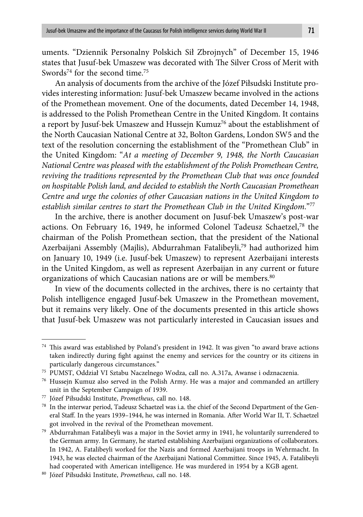uments. "Dziennik Personalny Polskich Sił Zbrojnych" of December 15, 1946 states that Jusuf-bek Umaszew was decorated with The Silver Cross of Merit with Swords<sup>74</sup> for the second time.<sup>75</sup>

An analysis of documents from the archive of the Józef Piłsudski Institute provides interesting information: Jusuf-bek Umaszew became involved in the actions of the Promethean movement. One of the documents, dated December 14, 1948, is addressed to the Polish Promethean Centre in the United Kingdom. It contains a report by Jusuf-bek Umaszew and Hussejn Kumuz<sup>76</sup> about the establishment of the North Caucasian National Centre at 32, Bolton Gardens, London SW5 and the text of the resolution concerning the establishment of the "Promethean Club" in the United Kingdom: "*At a meeting of December 9, 1948, the North Caucasian National Centre was pleased with the establishment of the Polish Promethean Centre, reviving the traditions represented by the Promethean Club that was once founded on hospitable Polish land, and decided to establish the North Caucasian Promethean Centre and urge the colonies of other Caucasian nations in the United Kingdom to establish similar centres to start the Promethean Club in the United Kingdom*."77

In the archive, there is another document on Jusuf-bek Umaszew's post-war actions. On February 16, 1949, he informed Colonel Tadeusz Schaetzel,78 the chairman of the Polish Promethean section, that the president of the National Azerbaijani Assembly (Majlis), Abdurrahman Fatalibeyli,<sup>79</sup> had authorized him on January 10, 1949 (i.e. Jusuf-bek Umaszew) to represent Azerbaijani interests in the United Kingdom, as well as represent Azerbaijan in any current or future organizations of which Caucasian nations are or will be members.<sup>80</sup>

In view of the documents collected in the archives, there is no certainty that Polish intelligence engaged Jusuf-bek Umaszew in the Promethean movement, but it remains very likely. One of the documents presented in this article shows that Jusuf-bek Umaszew was not particularly interested in Caucasian issues and

 $74$  This award was established by Poland's president in 1942. It was given "to award brave actions taken indirectly during fight against the enemy and services for the country or its citizens in particularly dangerous circumstances."

<sup>75</sup> PUMST, Oddział VI Sztabu Naczelnego Wodza, call no. A.317a, Awanse i odznaczenia.

<sup>76</sup> Hussejn Kumuz also served in the Polish Army. He was a major and commanded an artillery unit in the September Campaign of 1939.

<sup>77</sup> Józef Piłsudski Institute, *Prometheus*, call no. 148.

<sup>78</sup> In the interwar period, Tadeusz Schaetzel was i.a. the chief of the Second Department of the General Staff. In the years 1939-1944, he was interned in Romania. After World War II, T. Schaetzel got involved in the revival of the Promethean movement.

<sup>79</sup> Abdurrahman Fatalibeyli was a major in the Soviet army in 1941, he voluntarily surrendered to the German army. In Germany, he started establishing Azerbaijani organizations of collaborators. In 1942, A. Fatalibeyli worked for the Nazis and formed Azerbaijani troops in Wehrmacht. In 1943, he was elected chairman of the Azerbaijani National Committee. Since 1945, A. Fatalibeyli had cooperated with American intelligence. He was murdered in 1954 by a KGB agent.

<sup>80</sup> Józef Piłsudski Institute, *Prometheus*, call no. 148.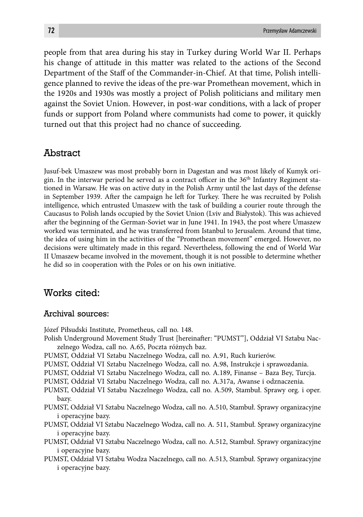people from that area during his stay in Turkey during World War II. Perhaps his change of attitude in this matter was related to the actions of the Second Department of the Staff of the Commander-in-Chief. At that time, Polish intelligence planned to revive the ideas of the pre-war Promethean movement, which in the 1920s and 1930s was mostly a project of Polish politicians and military men against the Soviet Union. However, in post-war conditions, with a lack of proper funds or support from Poland where communists had come to power, it quickly turned out that this project had no chance of succeeding.

## Abstract

Jusuf-bek Umaszew was most probably born in Dagestan and was most likely of Kumyk origin. In the interwar period he served as a contract officer in the  $36<sup>th</sup>$  Infantry Regiment stationed in Warsaw. He was on active duty in the Polish Army until the last days of the defense in September 1939. After the campaign he left for Turkey. There he was recruited by Polish intelligence, which entrusted Umaszew with the task of building a courier route through the Caucasus to Polish lands occupied by the Soviet Union (Lviv and Białystok). This was achieved after the beginning of the German-Soviet war in June 1941. In 1943, the post where Umaszew worked was terminated, and he was transferred from Istanbul to Jerusalem. Around that time, the idea of using him in the activities of the "Promethean movement" emerged. However, no decisions were ultimately made in this regard. Nevertheless, following the end of World War II Umaszew became involved in the movement, though it is not possible to determine whether he did so in cooperation with the Poles or on his own initiative.

### Works cited:

#### Archival sources:

Józef Piłsudski Institute, Prometheus, call no. 148.

- Polish Underground Movement Study Trust [hereinafter: "PUMST"], Oddział VI Sztabu Naczelnego Wodza, call no. A.65, Poczta różnych baz.
- PUMST, Oddział VI Sztabu Naczelnego Wodza, call no. A.91, Ruch kurierów.
- PUMST, Oddział VI Sztabu Naczelnego Wodza, call no. A.98, Instrukcje i sprawozdania.
- PUMST, Oddział VI Sztabu Naczelnego Wodza, call no. A.189, Finanse Baza Bey, Turcja.
- PUMST, Oddział VI Sztabu Naczelnego Wodza, call no. A.317a, Awanse i odznaczenia.
- PUMST, Oddział VI Sztabu Naczelnego Wodza, call no. A.509, Stambuł. Sprawy org. i oper. bazy.
- PUMST, Oddział VI Sztabu Naczelnego Wodza, call no. A.510, Stambuł. Sprawy organizacyjne i operacyjne bazy.
- PUMST, Oddział VI Sztabu Naczelnego Wodza, call no. A. 511, Stambuł. Sprawy organizacyjne i operacyjne bazy.
- PUMST, Oddział VI Sztabu Naczelnego Wodza, call no. A.512, Stambuł. Sprawy organizacyjne i operacyjne bazy.
- PUMST, Oddział VI Sztabu Wodza Naczelnego, call no. A.513, Stambuł. Sprawy organizacyjne i operacyjne bazy.